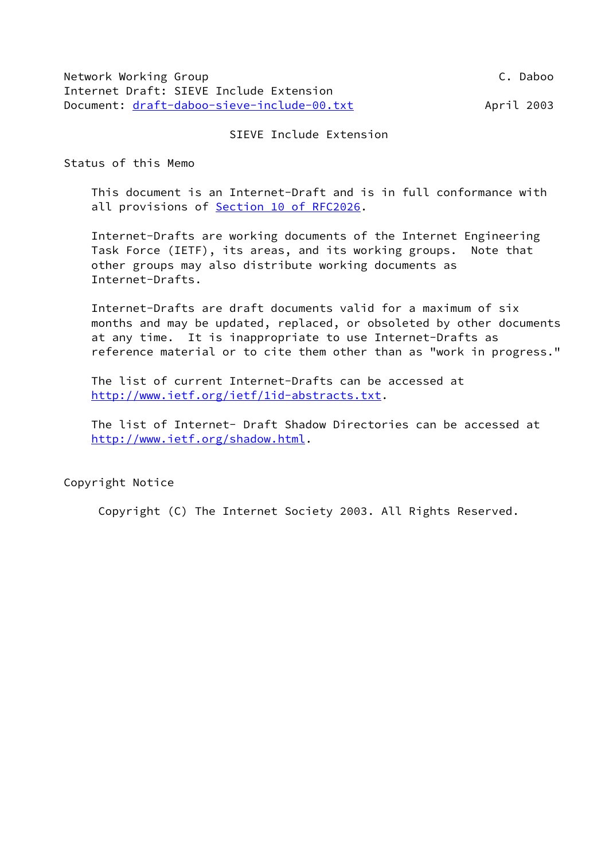### SIEVE Include Extension

Status of this Memo

 This document is an Internet-Draft and is in full conformance with all provisions of Section [10 of RFC2026.](https://datatracker.ietf.org/doc/pdf/rfc2026#section-10)

 Internet-Drafts are working documents of the Internet Engineering Task Force (IETF), its areas, and its working groups. Note that other groups may also distribute working documents as Internet-Drafts.

 Internet-Drafts are draft documents valid for a maximum of six months and may be updated, replaced, or obsoleted by other documents at any time. It is inappropriate to use Internet-Drafts as reference material or to cite them other than as "work in progress."

 The list of current Internet-Drafts can be accessed at [http://www.ietf.org/ietf/1id-abstracts.txt.](http://www.ietf.org/ietf/1id-abstracts.txt)

 The list of Internet- Draft Shadow Directories can be accessed at <http://www.ietf.org/shadow.html>.

Copyright Notice

Copyright (C) The Internet Society 2003. All Rights Reserved.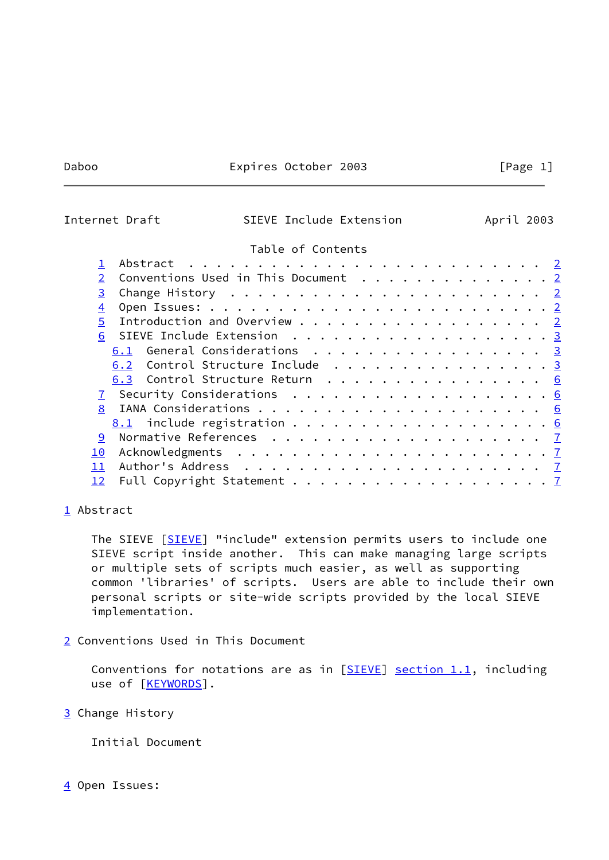## Daboo Expires October 2003 [Page 1]

# <span id="page-1-1"></span>Internet Draft SIEVE Include Extension April 2003

### Table of Contents

| 2 Conventions Used in This Document 2 |
|---------------------------------------|
|                                       |
|                                       |
| Introduction and Overview 2           |
| 6 SIEVE Include Extension 3           |
| 6.1 General Considerations 3          |
| 6.2 Control Structure Include 3       |
| 6.3 Control Structure Return 6        |
|                                       |
|                                       |
|                                       |
|                                       |
|                                       |
|                                       |
|                                       |
|                                       |

### <span id="page-1-0"></span>[1](#page-1-0) Abstract

The SIEVE [[SIEVE\]](#page-7-5) "include" extension permits users to include one SIEVE script inside another. This can make managing large scripts or multiple sets of scripts much easier, as well as supporting common 'libraries' of scripts. Users are able to include their own personal scripts or site-wide scripts provided by the local SIEVE implementation.

<span id="page-1-2"></span>[2](#page-1-2) Conventions Used in This Document

Conventions for notations are as in  $[SIEVE]$  section 1.1, including use of [\[KEYWORDS](#page-7-6)].

<span id="page-1-3"></span>[3](#page-1-3) Change History

Initial Document

<span id="page-1-4"></span>[4](#page-1-4) Open Issues: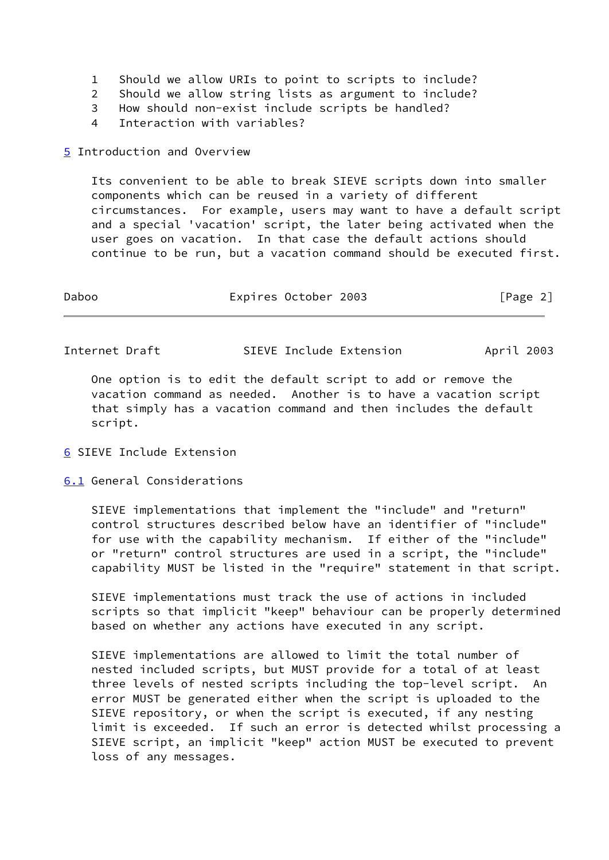- 1 Should we allow URIs to point to scripts to include?
- 2 Should we allow string lists as argument to include?
- 3 How should non-exist include scripts be handled?
- 4 Interaction with variables?
- <span id="page-2-0"></span>[5](#page-2-0) Introduction and Overview

 Its convenient to be able to break SIEVE scripts down into smaller components which can be reused in a variety of different circumstances. For example, users may want to have a default script and a special 'vacation' script, the later being activated when the user goes on vacation. In that case the default actions should continue to be run, but a vacation command should be executed first.

| Daboo | Expires October 2003 | [Page 2] |
|-------|----------------------|----------|
|       |                      |          |

<span id="page-2-2"></span>Internet Draft SIEVE Include Extension April 2003

 One option is to edit the default script to add or remove the vacation command as needed. Another is to have a vacation script that simply has a vacation command and then includes the default script.

- <span id="page-2-1"></span>[6](#page-2-1) SIEVE Include Extension
- <span id="page-2-3"></span>[6.1](#page-2-3) General Considerations

 SIEVE implementations that implement the "include" and "return" control structures described below have an identifier of "include" for use with the capability mechanism. If either of the "include" or "return" control structures are used in a script, the "include" capability MUST be listed in the "require" statement in that script.

 SIEVE implementations must track the use of actions in included scripts so that implicit "keep" behaviour can be properly determined based on whether any actions have executed in any script.

 SIEVE implementations are allowed to limit the total number of nested included scripts, but MUST provide for a total of at least three levels of nested scripts including the top-level script. An error MUST be generated either when the script is uploaded to the SIEVE repository, or when the script is executed, if any nesting limit is exceeded. If such an error is detected whilst processing a SIEVE script, an implicit "keep" action MUST be executed to prevent loss of any messages.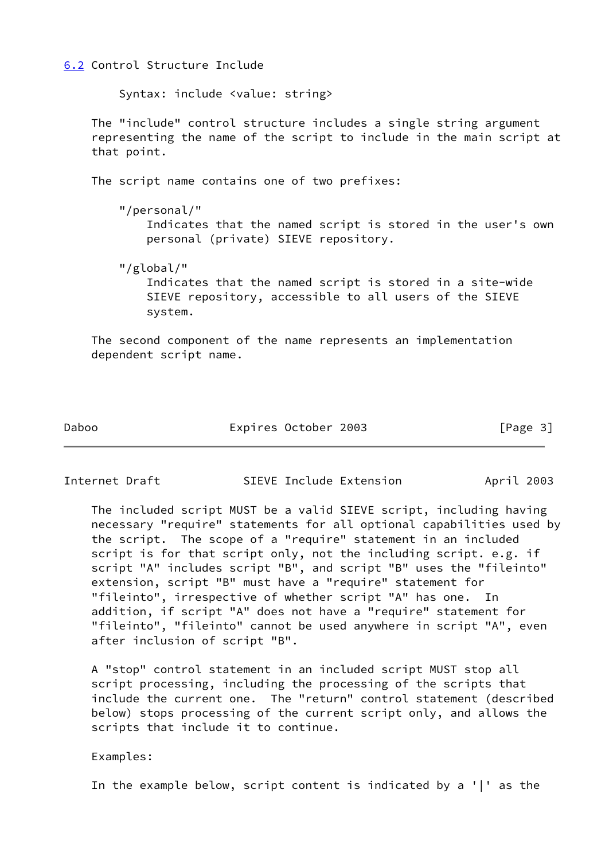<span id="page-3-0"></span>[6.2](#page-3-0) Control Structure Include

Syntax: include <value: string>

 The "include" control structure includes a single string argument representing the name of the script to include in the main script at that point.

The script name contains one of two prefixes:

 "/personal/" Indicates that the named script is stored in the user's own personal (private) SIEVE repository.

 "/global/" Indicates that the named script is stored in a site-wide SIEVE repository, accessible to all users of the SIEVE system.

 The second component of the name represents an implementation dependent script name.

Daboo Expires October 2003 [Page 3]

Internet Draft SIEVE Include Extension April 2003

 The included script MUST be a valid SIEVE script, including having necessary "require" statements for all optional capabilities used by the script. The scope of a "require" statement in an included script is for that script only, not the including script. e.g. if script "A" includes script "B", and script "B" uses the "fileinto" extension, script "B" must have a "require" statement for "fileinto", irrespective of whether script "A" has one. In addition, if script "A" does not have a "require" statement for "fileinto", "fileinto" cannot be used anywhere in script "A", even after inclusion of script "B".

 A "stop" control statement in an included script MUST stop all script processing, including the processing of the scripts that include the current one. The "return" control statement (described below) stops processing of the current script only, and allows the scripts that include it to continue.

Examples:

In the example below, script content is indicated by a '|' as the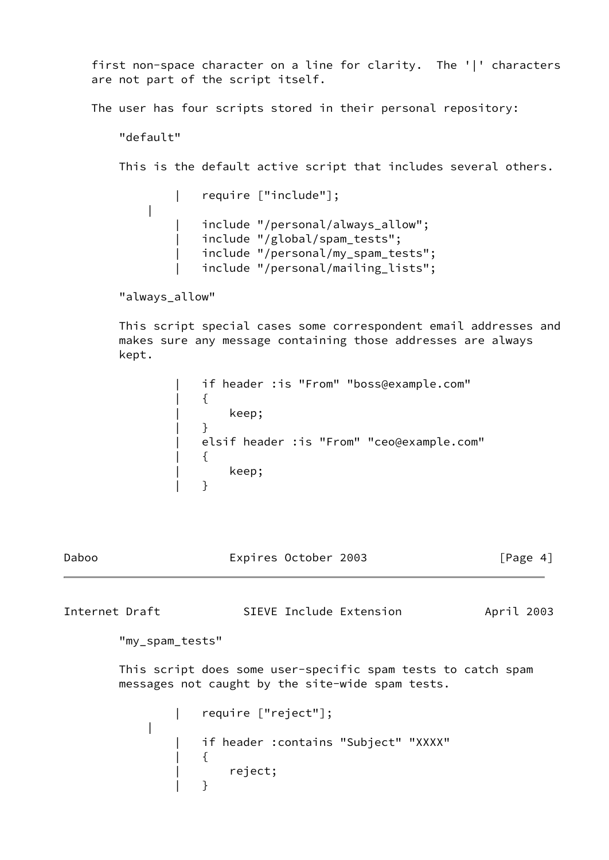first non-space character on a line for clarity. The '|' characters are not part of the script itself.

The user has four scripts stored in their personal repository:

"default"

This is the default active script that includes several others.

```
 | require ["include"];
|
                 include "/personal/always_allow";
                 include "/global/spam_tests";
                 include "/personal/my_spam_tests";
                 include "/personal/mailing_lists";
```
"always\_allow"

|

 This script special cases some correspondent email addresses and makes sure any message containing those addresses are always kept.

| if header : is "From" "boss@example.com"  |
|-------------------------------------------|
|                                           |
| keep;                                     |
|                                           |
| elsif header :is "From" "ceo@example.com" |
|                                           |
| keep;                                     |
|                                           |

| Daboo | Expires October 2003 | [Page 4] |
|-------|----------------------|----------|
|-------|----------------------|----------|

Internet Draft SIEVE Include Extension April 2003 "my\_spam\_tests" This script does some user-specific spam tests to catch spam messages not caught by the site-wide spam tests. | require ["reject"];

```
 | if header :contains "Subject" "XXXX"
| {
                | reject;
| }
```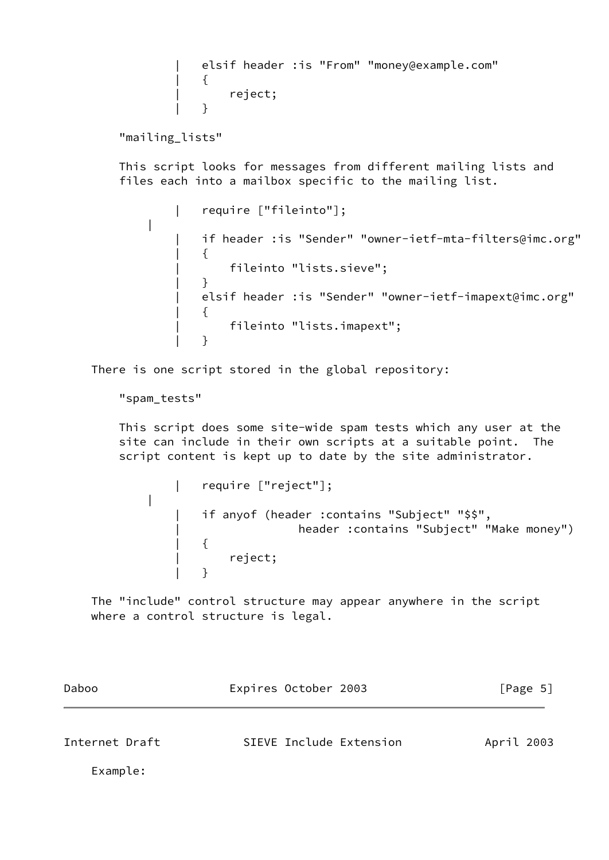elsif header : is "From" "money@example.com" | { | reject; | }

"mailing\_lists"

 This script looks for messages from different mailing lists and files each into a mailbox specific to the mailing list.

 | require ["fileinto"]; | | if header :is "Sender" "owner-ietf-mta-filters@imc.org" | { | fileinto "lists.sieve"; | } | elsif header :is "Sender" "owner-ietf-imapext@imc.org" | { | fileinto "lists.imapext"; | }

There is one script stored in the global repository:

"spam\_tests"

|

 This script does some site-wide spam tests which any user at the site can include in their own scripts at a suitable point. The script content is kept up to date by the site administrator.

 | require ["reject"]; if anyof (header :contains "Subject" "\$\$", | header :contains "Subject" "Make money") | { | reject; | }

 The "include" control structure may appear anywhere in the script where a control structure is legal.

<span id="page-5-0"></span>

| Daboo          | Expires October 2003    | [Page 5]   |
|----------------|-------------------------|------------|
| Internet Draft | SIEVE Include Extension | April 2003 |
| Example:       |                         |            |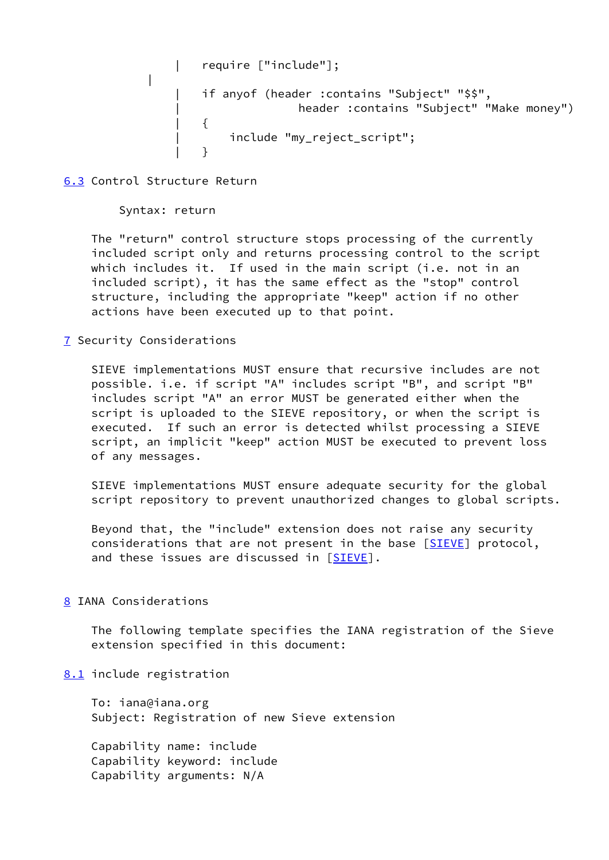```
 | require ["include"];
|
            if anyof (header :contains "Subject" "$$",
                         header : contains "Subject" "Make money")
| {
                 include "my_reject script";
| }
```
<span id="page-6-0"></span>[6.3](#page-6-0) Control Structure Return

Syntax: return

 The "return" control structure stops processing of the currently included script only and returns processing control to the script which includes it. If used in the main script (i.e. not in an included script), it has the same effect as the "stop" control structure, including the appropriate "keep" action if no other actions have been executed up to that point.

<span id="page-6-1"></span>[7](#page-6-1) Security Considerations

 SIEVE implementations MUST ensure that recursive includes are not possible. i.e. if script "A" includes script "B", and script "B" includes script "A" an error MUST be generated either when the script is uploaded to the SIEVE repository, or when the script is executed. If such an error is detected whilst processing a SIEVE script, an implicit "keep" action MUST be executed to prevent loss of any messages.

 SIEVE implementations MUST ensure adequate security for the global script repository to prevent unauthorized changes to global scripts.

 Beyond that, the "include" extension does not raise any security considerations that are not present in the base [\[SIEVE\]](#page-7-5) protocol, and these issues are discussed in [[SIEVE\]](#page-7-5).

<span id="page-6-2"></span>[8](#page-6-2) IANA Considerations

 The following template specifies the IANA registration of the Sieve extension specified in this document:

<span id="page-6-3"></span>[8.1](#page-6-3) include registration

 To: iana@iana.org Subject: Registration of new Sieve extension

 Capability name: include Capability keyword: include Capability arguments: N/A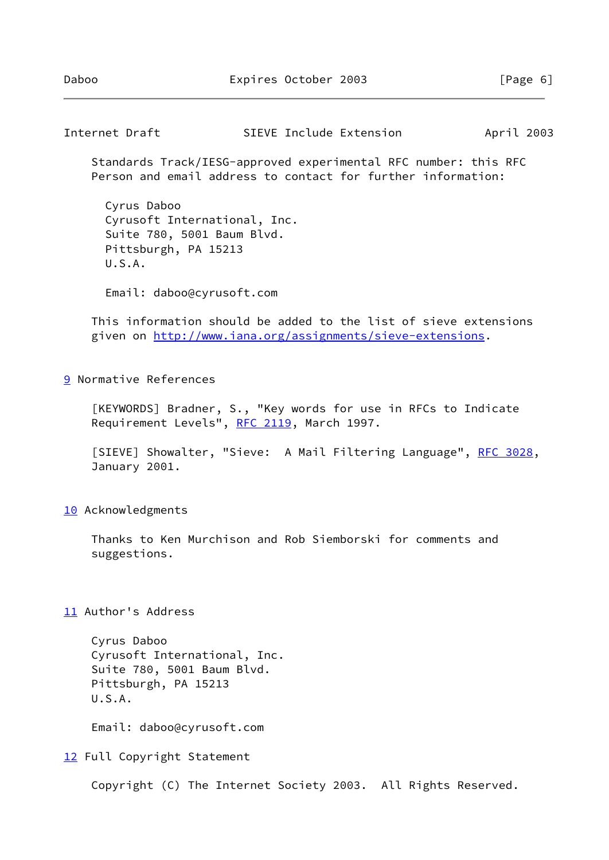<span id="page-7-1"></span>Internet Draft SIEVE Include Extension April 2003

 Standards Track/IESG-approved experimental RFC number: this RFC Person and email address to contact for further information:

 Cyrus Daboo Cyrusoft International, Inc. Suite 780, 5001 Baum Blvd. Pittsburgh, PA 15213 U.S.A.

Email: daboo@cyrusoft.com

 This information should be added to the list of sieve extensions given on<http://www.iana.org/assignments/sieve-extensions>.

<span id="page-7-0"></span>[9](#page-7-0) Normative References

<span id="page-7-6"></span> [KEYWORDS] Bradner, S., "Key words for use in RFCs to Indicate Requirement Levels", [RFC 2119](https://datatracker.ietf.org/doc/pdf/rfc2119), March 1997.

<span id="page-7-5"></span>[SIEVE] Showalter, "Sieve: A Mail Filtering Language", [RFC 3028](https://datatracker.ietf.org/doc/pdf/rfc3028), January 2001.

<span id="page-7-2"></span>[10](#page-7-2) Acknowledgments

 Thanks to Ken Murchison and Rob Siemborski for comments and suggestions.

<span id="page-7-3"></span>[11](#page-7-3) Author's Address

 Cyrus Daboo Cyrusoft International, Inc. Suite 780, 5001 Baum Blvd. Pittsburgh, PA 15213 U.S.A.

Email: daboo@cyrusoft.com

<span id="page-7-4"></span>[12](#page-7-4) Full Copyright Statement

Copyright (C) The Internet Society 2003. All Rights Reserved.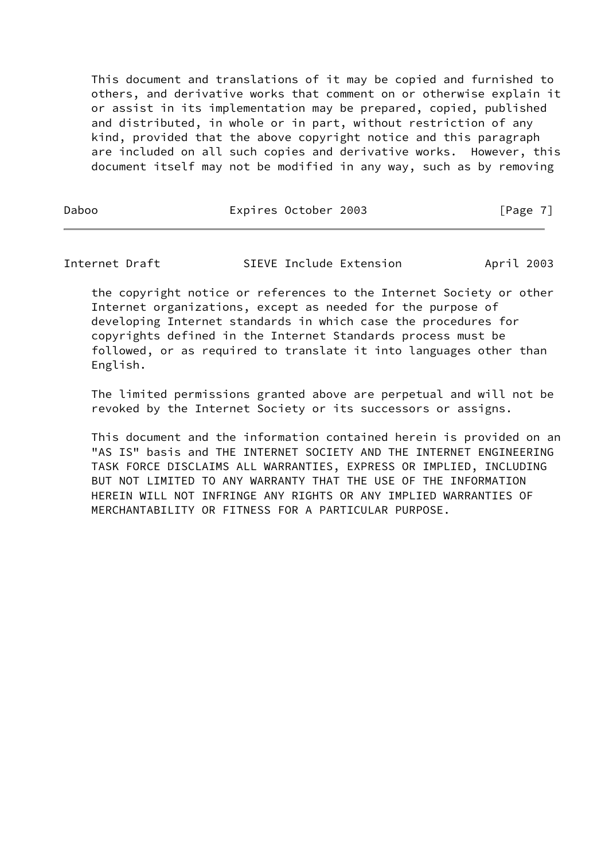This document and translations of it may be copied and furnished to others, and derivative works that comment on or otherwise explain it or assist in its implementation may be prepared, copied, published and distributed, in whole or in part, without restriction of any kind, provided that the above copyright notice and this paragraph are included on all such copies and derivative works. However, this document itself may not be modified in any way, such as by removing

Daboo **Expires October 2003** [Page 7]

Internet Draft SIEVE Include Extension April 2003

 the copyright notice or references to the Internet Society or other Internet organizations, except as needed for the purpose of developing Internet standards in which case the procedures for copyrights defined in the Internet Standards process must be followed, or as required to translate it into languages other than English.

 The limited permissions granted above are perpetual and will not be revoked by the Internet Society or its successors or assigns.

 This document and the information contained herein is provided on an "AS IS" basis and THE INTERNET SOCIETY AND THE INTERNET ENGINEERING TASK FORCE DISCLAIMS ALL WARRANTIES, EXPRESS OR IMPLIED, INCLUDING BUT NOT LIMITED TO ANY WARRANTY THAT THE USE OF THE INFORMATION HEREIN WILL NOT INFRINGE ANY RIGHTS OR ANY IMPLIED WARRANTIES OF MERCHANTABILITY OR FITNESS FOR A PARTICULAR PURPOSE.